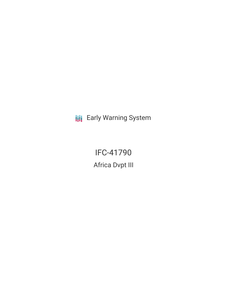**III** Early Warning System

IFC-41790 Africa Dvpt III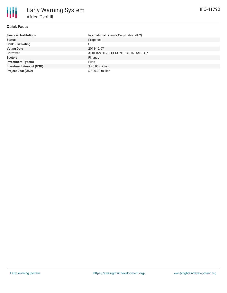

#### **Quick Facts**

| <b>Financial Institutions</b>  | International Finance Corporation (IFC) |  |  |  |
|--------------------------------|-----------------------------------------|--|--|--|
| <b>Status</b>                  | Proposed                                |  |  |  |
| <b>Bank Risk Rating</b>        |                                         |  |  |  |
| <b>Voting Date</b>             | 2018-12-07                              |  |  |  |
| <b>Borrower</b>                | AFRICAN DEVELOPMENT PARTNERS III LP     |  |  |  |
| <b>Sectors</b>                 | Finance                                 |  |  |  |
| <b>Investment Type(s)</b>      | Fund                                    |  |  |  |
| <b>Investment Amount (USD)</b> | \$20.00 million                         |  |  |  |
| <b>Project Cost (USD)</b>      | \$800.00 million                        |  |  |  |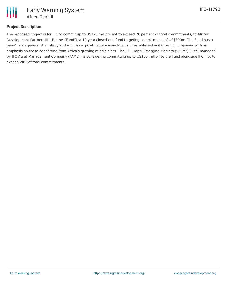

## **Project Description**

The proposed project is for IFC to commit up to US\$20 million, not to exceed 20 percent of total commitments, to African Development Partners III L.P. (the "Fund"), a 10-year closed-end fund targeting commitments of US\$800m. The Fund has a pan-African generalist strategy and will make growth equity investments in established and growing companies with an emphasis on those benefitting from Africa's growing middle class. The IFC Global Emerging Markets ("GEM") Fund, managed by IFC Asset Management Company ("AMC") is considering committing up to US\$50 million to the Fund alongside IFC, not to exceed 20% of total commitments.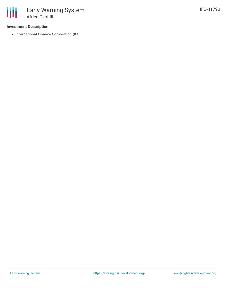#### **Investment Description**

• International Finance Corporation (IFC)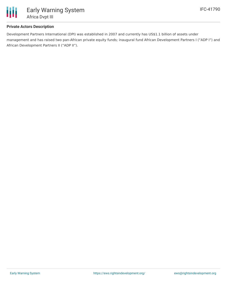

### **Private Actors Description**

Development Partners International (DPI) was established in 2007 and currently has US\$1.1 billion of assets under management and has raised two pan-African private equity funds; inaugural fund African Development Partners I ("ADP I") and African Development Partners II ("ADP II").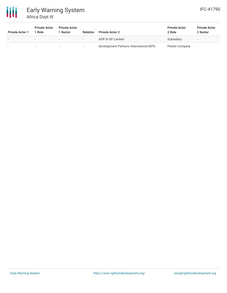

# Early Warning System Africa Dvpt III

| <b>Private Actor 1</b> | <b>Private Actor</b><br>1 Role | <b>Private Actor</b><br>Sector | Relation                 | <b>Private Actor 2</b>                   | <b>Private Actor</b><br>2 Role | <b>Private Actor</b><br>2 Sector |
|------------------------|--------------------------------|--------------------------------|--------------------------|------------------------------------------|--------------------------------|----------------------------------|
|                        |                                | $\overline{\phantom{a}}$       | $\overline{\phantom{0}}$ | ADP III GP Limited                       | Subsidiary                     | $\overline{\phantom{a}}$         |
|                        |                                | $\overline{\phantom{a}}$       |                          | Development Partners International (DPI) | Parent Company                 |                                  |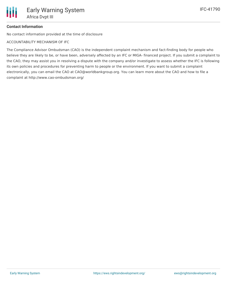# **Contact Information**

No contact information provided at the time of disclosure

ACCOUNTABILITY MECHANISM OF IFC

The Compliance Advisor Ombudsman (CAO) is the independent complaint mechanism and fact-finding body for people who believe they are likely to be, or have been, adversely affected by an IFC or MIGA- financed project. If you submit a complaint to the CAO, they may assist you in resolving a dispute with the company and/or investigate to assess whether the IFC is following its own policies and procedures for preventing harm to people or the environment. If you want to submit a complaint electronically, you can email the CAO at CAO@worldbankgroup.org. You can learn more about the CAO and how to file a complaint at http://www.cao-ombudsman.org/